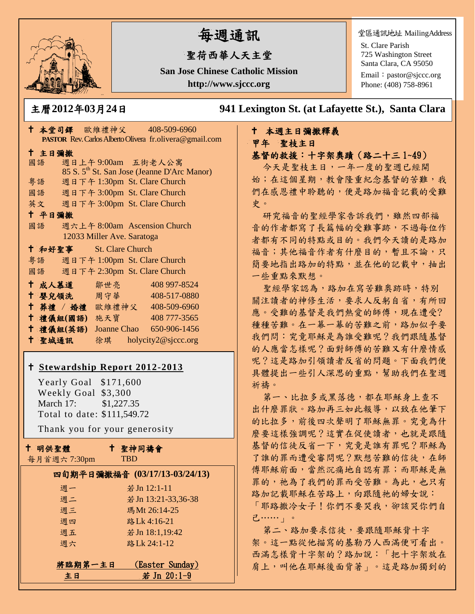

# 每週通訊

# 聖荷西華人天主堂

**San Jose Chinese Catholic Mission http://www.sjccc.org**

堂區通訊地址 MailingAddress

St. Clare Parish 725 Washington Street Santa Clara, CA 95050

Email: [pastor@sjccc.org](mailto:pastor@sjccc.org) Phone: (408) 758-8961

主曆**2012**年**03**月**24**日 **941 Lexington St. (at Lafayette St.), Santa Clara** 

# 本週主日彌撒釋義 甲年 聖枝主日

基督的救援:十字架奧蹟(路二十三 1~49)

今天是聖枝主日,一年一度的聖週已經開 始;在這個星期,教會隆重紀念基督的苦難,我 們在感恩禮中聆聽的,便是路加福音記載的受難 史。

研究福音的聖經學家告訴我們,雖然四部福 音的作者都寫了長篇幅的受難事跡,不過每位作 者都有不同的特點或目的。我們今天讀的是路加 福音;其他福音作者有什麼目的,暫且不論,只 簡要地指出路加的特點,並在他的記載中,抽出 一些重點來默想。

聖經學家認為,路加在寫苦難奧跡時,特別 關注讀者的神修生活,要求人反躬自省,有所回 應。受難的基督是我們熱愛的師傅,現在遭受? 種種苦難。在一幕一幕的苦難之前,路加似乎要 我們問:究竟耶穌是為誰受難呢?我們跟隨基督 的人應當怎樣呢?面對師傅的苦難又有什麼情感 呢?這是路加引領讀者反省的問題。下面我們便 具體提出一些引人深思的重點,幫助我們在聖週 祈禱。

第一、比拉多或黑落德,都在耶穌身上查不 出什麼罪狀。路加再三如此報導,以致在他筆下 的比拉多,前後四次聲明了耶穌無罪。究竟為什 麼要這樣強調呢?這實在促使讀者,也就是跟隨 基督的信徒反省一下,究竟是誰有罪呢?耶穌為 了誰的罪而遭受審問呢?默想苦難的信徒,在師 傅耶穌前面,當然沉痛地自認有罪;而耶穌是無 罪的,祂為了我們的罪而受苦難。為此,也只有 路加記載耶穌在苦路上,向跟隨祂的婦女說: 「耶路撒冷女子!你們不要哭我,卻該哭你們自 己……」。

第二、路加要求信徒,要跟隨耶穌背十字 架。這一點從他描寫的基勒乃人西滿便可看出。 西滿怎樣背十字架的?路加說:「把十字架放在 肩上,叫他在耶穌後面背著」。這是路加獨到的

|    |        |                         |                            | PASTOR Rev. Carlos Alberto Olivera fr. olivera@gmail.com |  |
|----|--------|-------------------------|----------------------------|----------------------------------------------------------|--|
|    | 十 主日彌撒 |                         |                            |                                                          |  |
|    | 國語     |                         |                            | 週日上午9:00am 五街老人公寓                                        |  |
|    |        |                         |                            | 85 S. 5 <sup>th</sup> St. San Jose (Jeanne D'Arc Manor)  |  |
|    | 粤語     |                         |                            | 週日下午 1:30pm St. Clare Church                             |  |
|    |        |                         |                            | 國語 週日下午 3:00pm St. Clare Church                          |  |
|    |        |                         |                            | 英文 週日下午 3:00pm St. Clare Church                          |  |
|    | 十 平日彌撒 |                         |                            |                                                          |  |
|    | 國語     |                         |                            | 週六上午 8:00am Ascension Church                             |  |
|    |        |                         | 12033 Miller Ave. Saratoga |                                                          |  |
|    |        | † 和好聖事 St. Clare Church |                            |                                                          |  |
|    |        |                         |                            | 粤語 週日下午 1:00pm St. Clare Church                          |  |
|    |        |                         |                            | 國語 週日下午 2:30pm St. Clare Church                          |  |
|    |        | ↑ 成人慕道   鄒世亮            |                            | 408 997-8524                                             |  |
| Ť. |        |                         |                            | 婴兒領洗 周守華 408-517-0880                                    |  |
| †∶ |        |                         |                            | 葬禮 / 婚禮 歐維禮神父 408-509-6960                               |  |
| Ť. |        | 禮儀組(國語) 施天寶             |                            | 408 777-3565                                             |  |
|    |        | 十 禮儀組(英語)               |                            | Joanne Chao 650-906-1456                                 |  |
|    | 十 聖城通訊 |                         |                            | 徐琪 holycity2@sjccc.org                                   |  |

↑ 本堂司鐸 歐維禮神父 408-509-6960

## **[Stewardship Report 2012-2013](http://sjccc.org/index.php/finance.html?src=bulletin112512)**

Yearly Goal  $$171,600$  Weekly Goal \$3,300 March 17: \$1,227.35 Total to date: \$111,549.72

Thank you for your generosity

|  | 十 明供聖體 |
|--|--------|
|--|--------|

聖神同禱會

**TBD** 

|         | 四旬期平日彌撒福音 (03/17/13-03/24/13) |
|---------|-------------------------------|
| 週一      | 若 Jn 12:1-11                  |
| 週二      | 若 Jn 13:21-33,36-38           |
| 週三      | 瑪Mt 26:14-25                  |
| 调四      | 路Lk 4:16-21                   |
| 週五      | 若 Jn 18:1,19:42               |
| 週六      | 路Lk 24:1-12                   |
|         |                               |
| 將臨期第一主日 | (Easter Sunday)               |
| 主日      | 若 Jn 20:1-9                   |